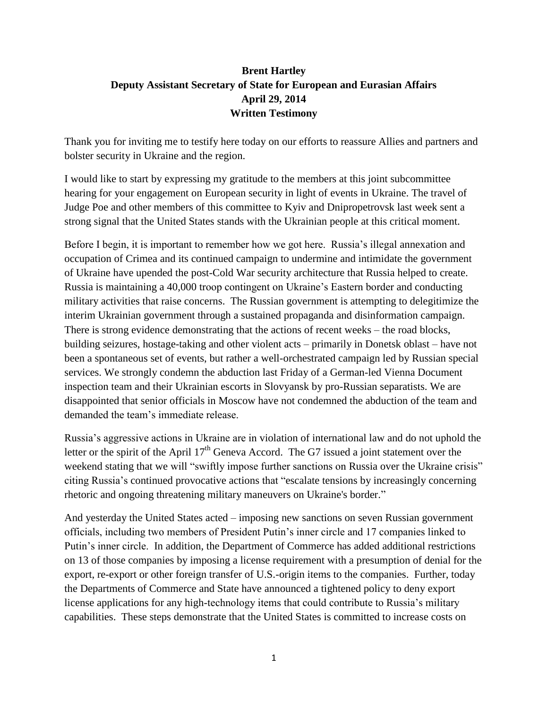# **Brent Hartley Deputy Assistant Secretary of State for European and Eurasian Affairs April 29, 2014 Written Testimony**

Thank you for inviting me to testify here today on our efforts to reassure Allies and partners and bolster security in Ukraine and the region.

I would like to start by expressing my gratitude to the members at this joint subcommittee hearing for your engagement on European security in light of events in Ukraine. The travel of Judge Poe and other members of this committee to Kyiv and Dnipropetrovsk last week sent a strong signal that the United States stands with the Ukrainian people at this critical moment.

Before I begin, it is important to remember how we got here. Russia's illegal annexation and occupation of Crimea and its continued campaign to undermine and intimidate the government of Ukraine have upended the post-Cold War security architecture that Russia helped to create. Russia is maintaining a 40,000 troop contingent on Ukraine's Eastern border and conducting military activities that raise concerns. The Russian government is attempting to delegitimize the interim Ukrainian government through a sustained propaganda and disinformation campaign. There is strong evidence demonstrating that the actions of recent weeks – the road blocks, building seizures, hostage-taking and other violent acts – primarily in Donetsk oblast – have not been a spontaneous set of events, but rather a well-orchestrated campaign led by Russian special services. We strongly condemn the abduction last Friday of a German-led Vienna Document inspection team and their Ukrainian escorts in Slovyansk by pro-Russian separatists. We are disappointed that senior officials in Moscow have not condemned the abduction of the team and demanded the team's immediate release.

Russia's aggressive actions in Ukraine are in violation of international law and do not uphold the letter or the spirit of the April  $17<sup>th</sup>$  Geneva Accord. The G7 issued a joint statement over the weekend stating that we will "swiftly impose further sanctions on Russia over the Ukraine crisis" citing Russia's continued provocative actions that "escalate tensions by increasingly concerning rhetoric and ongoing threatening military maneuvers on Ukraine's border."

And yesterday the United States acted – imposing new sanctions on seven Russian government officials, including two members of President Putin's inner circle and 17 companies linked to Putin's inner circle. In addition, the Department of Commerce has added additional restrictions on 13 of those companies by imposing a license requirement with a presumption of denial for the export, re-export or other foreign transfer of U.S.-origin items to the companies. Further, today the Departments of Commerce and State have announced a tightened policy to deny export license applications for any high-technology items that could contribute to Russia's military capabilities. These steps demonstrate that the United States is committed to increase costs on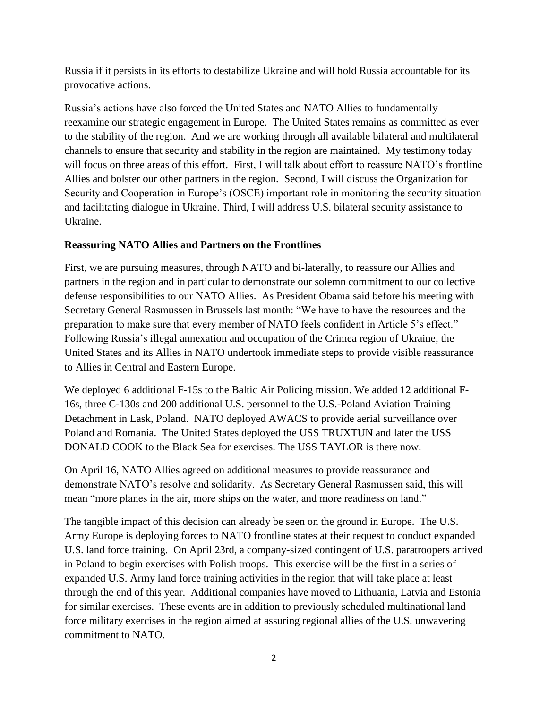Russia if it persists in its efforts to destabilize Ukraine and will hold Russia accountable for its provocative actions.

Russia's actions have also forced the United States and NATO Allies to fundamentally reexamine our strategic engagement in Europe. The United States remains as committed as ever to the stability of the region. And we are working through all available bilateral and multilateral channels to ensure that security and stability in the region are maintained. My testimony today will focus on three areas of this effort. First, I will talk about effort to reassure NATO's frontline Allies and bolster our other partners in the region. Second, I will discuss the Organization for Security and Cooperation in Europe's (OSCE) important role in monitoring the security situation and facilitating dialogue in Ukraine. Third, I will address U.S. bilateral security assistance to Ukraine.

### **Reassuring NATO Allies and Partners on the Frontlines**

First, we are pursuing measures, through NATO and bi-laterally, to reassure our Allies and partners in the region and in particular to demonstrate our solemn commitment to our collective defense responsibilities to our NATO Allies. As President Obama said before his meeting with Secretary General Rasmussen in Brussels last month: "We have to have the resources and the preparation to make sure that every member of NATO feels confident in Article 5's effect." Following Russia's illegal annexation and occupation of the Crimea region of Ukraine, the United States and its Allies in NATO undertook immediate steps to provide visible reassurance to Allies in Central and Eastern Europe.

We deployed 6 additional F-15s to the Baltic Air Policing mission. We added 12 additional F-16s, three C-130s and 200 additional U.S. personnel to the U.S.-Poland Aviation Training Detachment in Lask, Poland. NATO deployed AWACS to provide aerial surveillance over Poland and Romania. The United States deployed the USS TRUXTUN and later the USS DONALD COOK to the Black Sea for exercises. The USS TAYLOR is there now.

On April 16, NATO Allies agreed on additional measures to provide reassurance and demonstrate NATO's resolve and solidarity. As Secretary General Rasmussen said, this will mean "more planes in the air, more ships on the water, and more readiness on land."

The tangible impact of this decision can already be seen on the ground in Europe. The U.S. Army Europe is deploying forces to NATO frontline states at their request to conduct expanded U.S. land force training. On April 23rd, a company-sized contingent of U.S. paratroopers arrived in Poland to begin exercises with Polish troops. This exercise will be the first in a series of expanded U.S. Army land force training activities in the region that will take place at least through the end of this year. Additional companies have moved to Lithuania, Latvia and Estonia for similar exercises. These events are in addition to previously scheduled multinational land force military exercises in the region aimed at assuring regional allies of the U.S. unwavering commitment to NATO.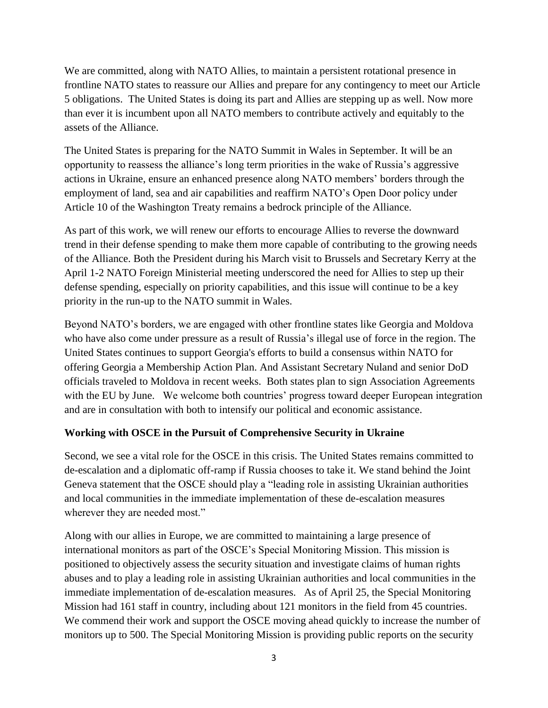We are committed, along with NATO Allies, to maintain a persistent rotational presence in frontline NATO states to reassure our Allies and prepare for any contingency to meet our Article 5 obligations. The United States is doing its part and Allies are stepping up as well. Now more than ever it is incumbent upon all NATO members to contribute actively and equitably to the assets of the Alliance.

The United States is preparing for the NATO Summit in Wales in September. It will be an opportunity to reassess the alliance's long term priorities in the wake of Russia's aggressive actions in Ukraine, ensure an enhanced presence along NATO members' borders through the employment of land, sea and air capabilities and reaffirm NATO's Open Door policy under Article 10 of the Washington Treaty remains a bedrock principle of the Alliance.

As part of this work, we will renew our efforts to encourage Allies to reverse the downward trend in their defense spending to make them more capable of contributing to the growing needs of the Alliance. Both the President during his March visit to Brussels and Secretary Kerry at the April 1-2 NATO Foreign Ministerial meeting underscored the need for Allies to step up their defense spending, especially on priority capabilities, and this issue will continue to be a key priority in the run-up to the NATO summit in Wales.

Beyond NATO's borders, we are engaged with other frontline states like Georgia and Moldova who have also come under pressure as a result of Russia's illegal use of force in the region. The United States continues to support Georgia's efforts to build a consensus within NATO for offering Georgia a Membership Action Plan. And Assistant Secretary Nuland and senior DoD officials traveled to Moldova in recent weeks. Both states plan to sign Association Agreements with the EU by June. We welcome both countries' progress toward deeper European integration and are in consultation with both to intensify our political and economic assistance.

### **Working with OSCE in the Pursuit of Comprehensive Security in Ukraine**

Second, we see a vital role for the OSCE in this crisis. The United States remains committed to de-escalation and a diplomatic off-ramp if Russia chooses to take it. We stand behind the Joint Geneva statement that the OSCE should play a "leading role in assisting Ukrainian authorities and local communities in the immediate implementation of these de-escalation measures wherever they are needed most."

Along with our allies in Europe, we are committed to maintaining a large presence of international monitors as part of the OSCE's Special Monitoring Mission. This mission is positioned to objectively assess the security situation and investigate claims of human rights abuses and to play a leading role in assisting Ukrainian authorities and local communities in the immediate implementation of de-escalation measures. As of April 25, the Special Monitoring Mission had 161 staff in country, including about 121 monitors in the field from 45 countries. We commend their work and support the OSCE moving ahead quickly to increase the number of monitors up to 500. The Special Monitoring Mission is providing public reports on the security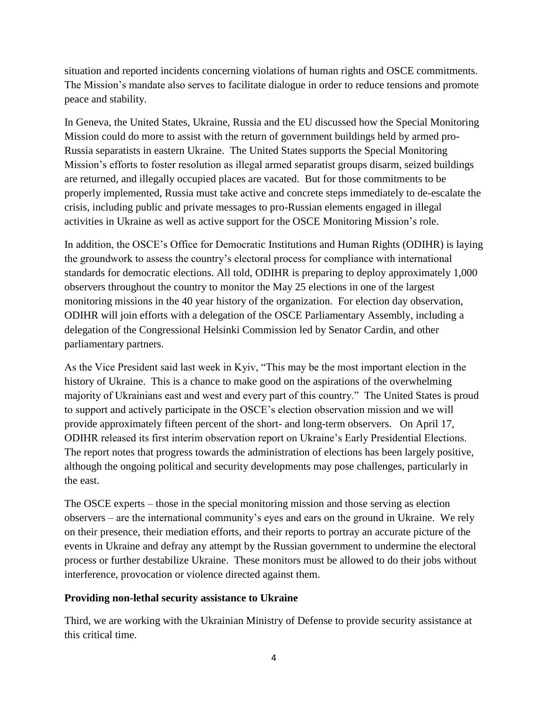situation and reported incidents concerning violations of human rights and OSCE commitments. The Mission's mandate also serves to facilitate dialogue in order to reduce tensions and promote peace and stability.

In Geneva, the United States, Ukraine, Russia and the EU discussed how the Special Monitoring Mission could do more to assist with the return of government buildings held by armed pro-Russia separatists in eastern Ukraine. The United States supports the Special Monitoring Mission's efforts to foster resolution as illegal armed separatist groups disarm, seized buildings are returned, and illegally occupied places are vacated. But for those commitments to be properly implemented, Russia must take active and concrete steps immediately to de-escalate the crisis, including public and private messages to pro-Russian elements engaged in illegal activities in Ukraine as well as active support for the OSCE Monitoring Mission's role.

In addition, the OSCE's Office for Democratic Institutions and Human Rights (ODIHR) is laying the groundwork to assess the country's electoral process for compliance with international standards for democratic elections. All told, ODIHR is preparing to deploy approximately 1,000 observers throughout the country to monitor the May 25 elections in one of the largest monitoring missions in the 40 year history of the organization. For election day observation, ODIHR will join efforts with a delegation of the OSCE Parliamentary Assembly, including a delegation of the Congressional Helsinki Commission led by Senator Cardin, and other parliamentary partners.

As the Vice President said last week in Kyiv, "This may be the most important election in the history of Ukraine. This is a chance to make good on the aspirations of the overwhelming majority of Ukrainians east and west and every part of this country." The United States is proud to support and actively participate in the OSCE's election observation mission and we will provide approximately fifteen percent of the short- and long-term observers. On April 17, ODIHR released its first interim observation report on Ukraine's Early Presidential Elections. The report notes that progress towards the administration of elections has been largely positive, although the ongoing political and security developments may pose challenges, particularly in the east.

The OSCE experts – those in the special monitoring mission and those serving as election observers – are the international community's eyes and ears on the ground in Ukraine. We rely on their presence, their mediation efforts, and their reports to portray an accurate picture of the events in Ukraine and defray any attempt by the Russian government to undermine the electoral process or further destabilize Ukraine. These monitors must be allowed to do their jobs without interference, provocation or violence directed against them.

### **Providing non-lethal security assistance to Ukraine**

Third, we are working with the Ukrainian Ministry of Defense to provide security assistance at this critical time.